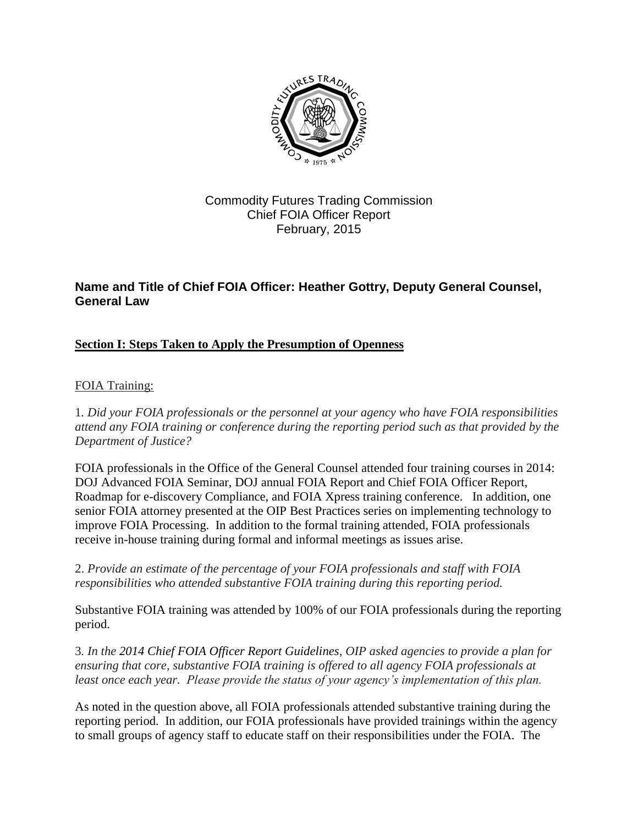

## Commodity Futures Trading Commission Chief FOIA Officer Report February, 2015

## **Name and Title of Chief FOIA Officer: Heather Gottry, Deputy General Counsel, General Law**

## **Section I: Steps Taken to Apply the Presumption of Openness**

### FOIA Training:

1*. Did your FOIA professionals or the personnel at your agency who have FOIA responsibilities attend any FOIA training or conference during the reporting period such as that provided by the Department of Justice?*

FOIA professionals in the Office of the General Counsel attended four training courses in 2014: DOJ Advanced FOIA Seminar, DOJ annual FOIA Report and Chief FOIA Officer Report, Roadmap for e-discovery Compliance, and FOIA Xpress training conference. In addition, one senior FOIA attorney presented at the OIP Best Practices series on implementing technology to improve FOIA Processing. In addition to the formal training attended, FOIA professionals receive in-house training during formal and informal meetings as issues arise.

2. *Provide an estimate of the percentage of your FOIA professionals and staff with FOIA responsibilities who attended substantive FOIA training during this reporting period.*

Substantive FOIA training was attended by 100% of our FOIA professionals during the reporting period.

3*. In the [2014 Chief FOIA Officer Report Guidelines,](http://www.justice.gov/oip/blog/foia-guidance-12) OIP asked agencies to provide a plan for ensuring that core, substantive FOIA training is offered to all agency FOIA professionals at least once each year. Please provide the status of your agency's implementation of this plan.*

As noted in the question above, all FOIA professionals attended substantive training during the reporting period. In addition, our FOIA professionals have provided trainings within the agency to small groups of agency staff to educate staff on their responsibilities under the FOIA. The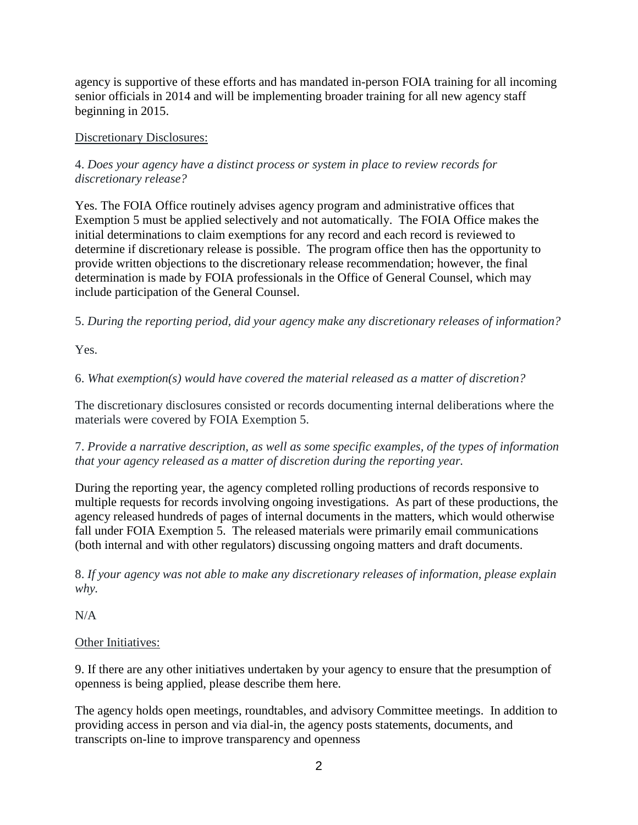agency is supportive of these efforts and has mandated in-person FOIA training for all incoming senior officials in 2014 and will be implementing broader training for all new agency staff beginning in 2015.

#### Discretionary Disclosures:

#### 4. *Does your agency have a distinct process or system in place to review records for discretionary release?*

Yes. The FOIA Office routinely advises agency program and administrative offices that Exemption 5 must be applied selectively and not automatically. The FOIA Office makes the initial determinations to claim exemptions for any record and each record is reviewed to determine if discretionary release is possible. The program office then has the opportunity to provide written objections to the discretionary release recommendation; however, the final determination is made by FOIA professionals in the Office of General Counsel, which may include participation of the General Counsel.

5. *During the reporting period, did your agency make any discretionary releases of information?*

Yes.

6. *What exemption(s) would have covered the material released as a matter of discretion?*

The discretionary disclosures consisted or records documenting internal deliberations where the materials were covered by FOIA Exemption 5.

7. *Provide a narrative description, as well as some specific examples, of the types of information that your agency released as a matter of discretion during the reporting year.*

During the reporting year, the agency completed rolling productions of records responsive to multiple requests for records involving ongoing investigations. As part of these productions, the agency released hundreds of pages of internal documents in the matters, which would otherwise fall under FOIA Exemption 5. The released materials were primarily email communications (both internal and with other regulators) discussing ongoing matters and draft documents.

8. *If your agency was not able to make any discretionary releases of information, please explain why.*

N/A

#### Other Initiatives:

9. If there are any other initiatives undertaken by your agency to ensure that the presumption of openness is being applied, please describe them here.

The agency holds open meetings, roundtables, and advisory Committee meetings. In addition to providing access in person and via dial-in, the agency posts statements, documents, and transcripts on-line to improve transparency and openness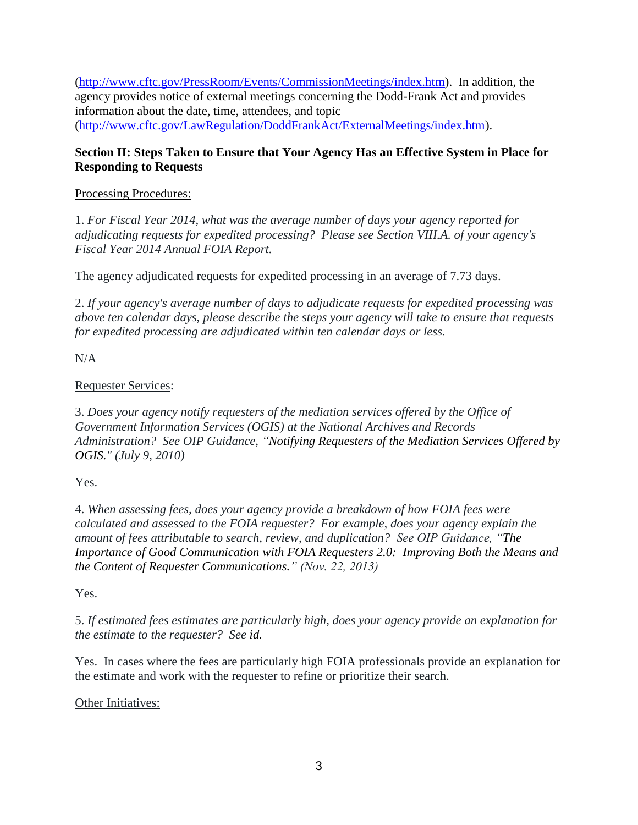[\(http://www.cftc.gov/PressRoom/Events/CommissionMeetings/index.htm\)](http://www.cftc.gov/PressRoom/Events/CommissionMeetings/index.htm). In addition, the agency provides notice of external meetings concerning the Dodd-Frank Act and provides information about the date, time, attendees, and topic [\(http://www.cftc.gov/LawRegulation/DoddFrankAct/ExternalMeetings/index.htm\)](http://www.cftc.gov/LawRegulation/DoddFrankAct/ExternalMeetings/index.htm).

### **Section II: Steps Taken to Ensure that Your Agency Has an Effective System in Place for Responding to Requests**

#### Processing Procedures:

1. *For Fiscal Year 2014, what was the average number of days your agency reported for adjudicating requests for expedited processing? Please see Section VIII.A. of your agency's Fiscal Year 2014 Annual FOIA Report.*

The agency adjudicated requests for expedited processing in an average of 7.73 days.

2. *If your agency's average number of days to adjudicate requests for expedited processing was above ten calendar days, please describe the steps your agency will take to ensure that requests for expedited processing are adjudicated within ten calendar days or less.*

N/A

### Requester Services:

3. *Does your agency notify requesters of the mediation services offered by the Office of Government Information Services (OGIS) at the National Archives and Records Administration? See OIP Guidance, ["Notifying Requesters of the Mediation Services Offered by](http://www.justice.gov/oip/foiapost/2010foiapost21.htm)  [OGIS.](http://www.justice.gov/oip/foiapost/2010foiapost21.htm)" (July 9, 2010)* 

Yes.

4. *When assessing fees, does your agency provide a breakdown of how FOIA fees were calculated and assessed to the FOIA requester? For example, does your agency explain the amount of fees attributable to search, review, and duplication? See OIP Guidance, ["The](http://www.justice.gov/oip/foiapost/2013foiapost06.html)  [Importance of Good Communication with FOIA Requesters 2.0:](http://www.justice.gov/oip/foiapost/2013foiapost06.html) Improving Both the Means and [the Content of Requester Communications.](http://www.justice.gov/oip/foiapost/2013foiapost06.html)" (Nov. 22, 2013)*

Yes.

5. *If estimated fees estimates are particularly high, does your agency provide an explanation for the estimate to the requester? See [id.](http://www.justice.gov/oip/foiapost/2013foiapost06.html)*

Yes. In cases where the fees are particularly high FOIA professionals provide an explanation for the estimate and work with the requester to refine or prioritize their search.

Other Initiatives: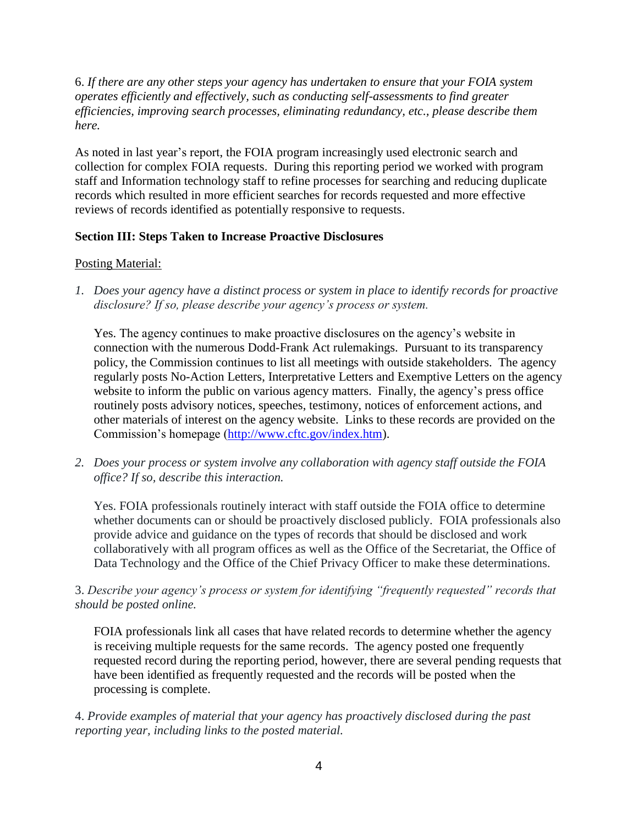6. *If there are any other steps your agency has undertaken to ensure that your FOIA system operates efficiently and effectively, such as conducting self-assessments to find greater efficiencies, improving search processes, eliminating redundancy, etc., please describe them here.*

As noted in last year's report, the FOIA program increasingly used electronic search and collection for complex FOIA requests. During this reporting period we worked with program staff and Information technology staff to refine processes for searching and reducing duplicate records which resulted in more efficient searches for records requested and more effective reviews of records identified as potentially responsive to requests.

#### **Section III: Steps Taken to Increase Proactive Disclosures**

#### Posting Material:

*1. Does your agency have a distinct process or system in place to identify records for proactive disclosure? If so, please describe your agency's process or system.*

Yes. The agency continues to make proactive disclosures on the agency's website in connection with the numerous Dodd-Frank Act rulemakings. Pursuant to its transparency policy, the Commission continues to list all meetings with outside stakeholders. The agency regularly posts No-Action Letters, Interpretative Letters and Exemptive Letters on the agency website to inform the public on various agency matters. Finally, the agency's press office routinely posts advisory notices, speeches, testimony, notices of enforcement actions, and other materials of interest on the agency website. Links to these records are provided on the Commission's homepage [\(http://www.cftc.gov/index.htm\)](http://www.cftc.gov/index.htm).

*2. Does your process or system involve any collaboration with agency staff outside the FOIA office? If so, describe this interaction.*

Yes. FOIA professionals routinely interact with staff outside the FOIA office to determine whether documents can or should be proactively disclosed publicly. FOIA professionals also provide advice and guidance on the types of records that should be disclosed and work collaboratively with all program offices as well as the Office of the Secretariat, the Office of Data Technology and the Office of the Chief Privacy Officer to make these determinations.

3. *Describe your agency's process or system for identifying "frequently requested" records that should be posted online.*

FOIA professionals link all cases that have related records to determine whether the agency is receiving multiple requests for the same records. The agency posted one frequently requested record during the reporting period, however, there are several pending requests that have been identified as frequently requested and the records will be posted when the processing is complete.

4. *Provide examples of material that your agency has proactively disclosed during the past reporting year, including links to the posted material.*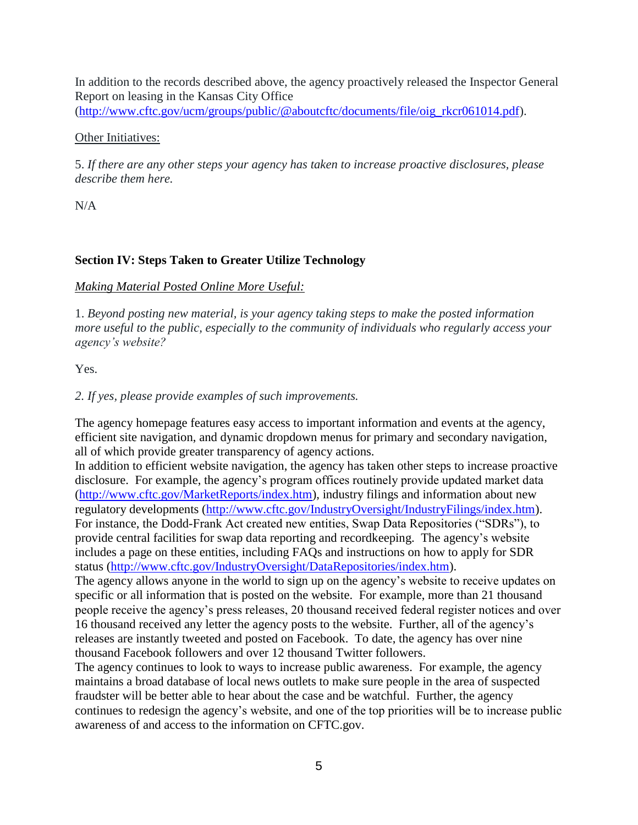In addition to the records described above, the agency proactively released the Inspector General Report on leasing in the Kansas City Office [\(http://www.cftc.gov/ucm/groups/public/@aboutcftc/documents/file/oig\\_rkcr061014.pdf\)](http://www.cftc.gov/ucm/groups/public/@aboutcftc/documents/file/oig_rkcr061014.pdf).

#### Other Initiatives:

5. *If there are any other steps your agency has taken to increase proactive disclosures, please describe them here.*

N/A

## **Section IV: Steps Taken to Greater Utilize Technology**

### *Making Material Posted Online More Useful:*

1. *Beyond posting new material, is your agency taking steps to make the posted information more useful to the public, especially to the community of individuals who regularly access your agency's website?*

Yes.

### *2. If yes, please provide examples of such improvements.*

The agency homepage features easy access to important information and events at the agency, efficient site navigation, and dynamic dropdown menus for primary and secondary navigation, all of which provide greater transparency of agency actions.

In addition to efficient website navigation, the agency has taken other steps to increase proactive disclosure. For example, the agency's program offices routinely provide updated market data [\(http://www.cftc.gov/MarketReports/index.htm\)](http://www.cftc.gov/MarketReports/index.htm), industry filings and information about new regulatory developments [\(http://www.cftc.gov/IndustryOversight/IndustryFilings/index.htm\)](http://www.cftc.gov/IndustryOversight/IndustryFilings/index.htm). For instance, the Dodd-Frank Act created new entities, Swap Data Repositories ("SDRs"), to provide central facilities for swap data reporting and recordkeeping. The agency's website includes a page on these entities, including FAQs and instructions on how to apply for SDR status [\(http://www.cftc.gov/IndustryOversight/DataRepositories/index.htm\)](http://www.cftc.gov/IndustryOversight/DataRepositories/index.htm).

The agency allows anyone in the world to sign up on the agency's website to receive updates on specific or all information that is posted on the website. For example, more than 21 thousand people receive the agency's press releases, 20 thousand received federal register notices and over 16 thousand received any letter the agency posts to the website. Further, all of the agency's releases are instantly tweeted and posted on Facebook. To date, the agency has over nine thousand Facebook followers and over 12 thousand Twitter followers.

The agency continues to look to ways to increase public awareness. For example, the agency maintains a broad database of local news outlets to make sure people in the area of suspected fraudster will be better able to hear about the case and be watchful. Further, the agency continues to redesign the agency's website, and one of the top priorities will be to increase public awareness of and access to the information on CFTC.gov.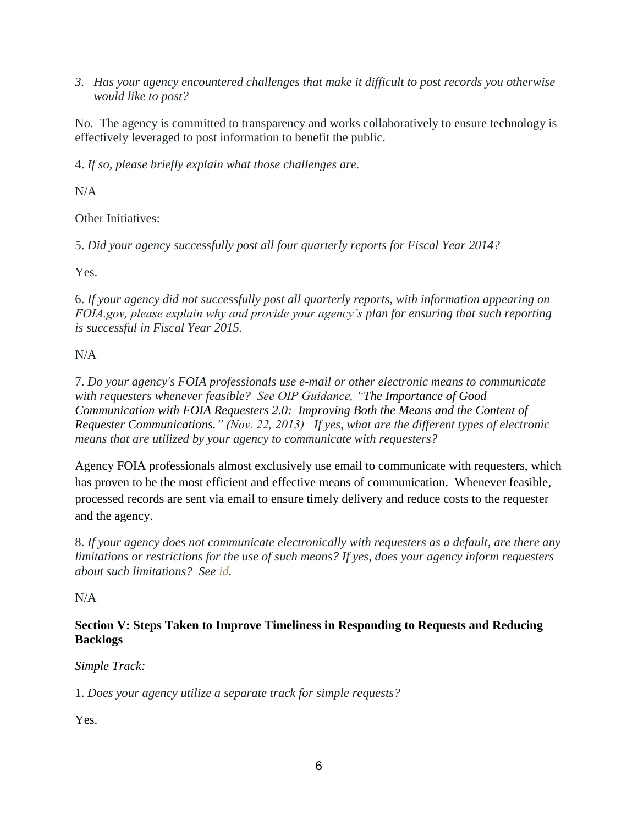*3. Has your agency encountered challenges that make it difficult to post records you otherwise would like to post?*

No. The agency is committed to transparency and works collaboratively to ensure technology is effectively leveraged to post information to benefit the public.

4. *If so, please briefly explain what those challenges are.*

 $N/A$ 

Other Initiatives:

5. *Did your agency successfully post all four quarterly reports for Fiscal Year 2014?*

Yes.

6. *If your agency did not successfully post all quarterly reports, with information appearing on FOIA.gov, please explain why and provide your agency's plan for ensuring that such reporting is successful in Fiscal Year 2015.*

# N/A

7. *Do your agency's FOIA professionals use e-mail or other electronic means to communicate with requesters whenever feasible? See OIP Guidance, ["The Importance of Good](http://www.justice.gov/oip/foiapost/2013foiapost06.html)  Communication with FOIA Requesters 2.0: [Improving Both the Means and the Content of](http://www.justice.gov/oip/foiapost/2013foiapost06.html)  [Requester Communications.](http://www.justice.gov/oip/foiapost/2013foiapost06.html)" (Nov. 22, 2013) If yes, what are the different types of electronic means that are utilized by your agency to communicate with requesters?*

Agency FOIA professionals almost exclusively use email to communicate with requesters, which has proven to be the most efficient and effective means of communication. Whenever feasible, processed records are sent via email to ensure timely delivery and reduce costs to the requester and the agency.

8. *If your agency does not communicate electronically with requesters as a default, are there any limitations or restrictions for the use of such means? If yes, does your agency inform requesters about such limitations? See [id.](http://www.justice.gov/oip/foiapost/2013foiapost06.html)*

# N/A

## **Section V: Steps Taken to Improve Timeliness in Responding to Requests and Reducing Backlogs**

# *Simple Track:*

1. *Does your agency utilize a separate track for simple requests?*

Yes.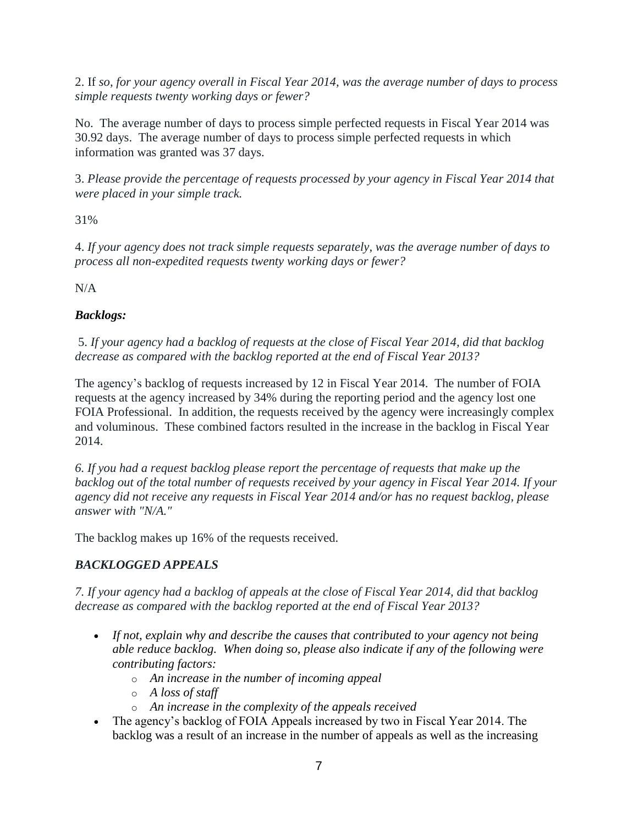2. If *so, for your agency overall in Fiscal Year 2014, was the average number of days to process simple requests twenty working days or fewer?*

No. The average number of days to process simple perfected requests in Fiscal Year 2014 was 30.92 days. The average number of days to process simple perfected requests in which information was granted was 37 days.

3. *Please provide the percentage of requests processed by your agency in Fiscal Year 2014 that were placed in your simple track.*

31%

4. *If your agency does not track simple requests separately, was the average number of days to process all non-expedited requests twenty working days or fewer?*

N/A

# *Backlogs:*

5. *If your agency had a backlog of requests at the close of Fiscal Year 2014, did that backlog decrease as compared with the backlog reported at the end of Fiscal Year 2013?*

The agency's backlog of requests increased by 12 in Fiscal Year 2014. The number of FOIA requests at the agency increased by 34% during the reporting period and the agency lost one FOIA Professional. In addition, the requests received by the agency were increasingly complex and voluminous. These combined factors resulted in the increase in the backlog in Fiscal Year 2014.

*6. If you had a request backlog please report the percentage of requests that make up the backlog out of the total number of requests received by your agency in Fiscal Year 2014. If your agency did not receive any requests in Fiscal Year 2014 and/or has no request backlog, please answer with "N/A."*

The backlog makes up 16% of the requests received.

# *BACKLOGGED APPEALS*

*7. If your agency had a backlog of appeals at the close of Fiscal Year 2014, did that backlog decrease as compared with the backlog reported at the end of Fiscal Year 2013?*

- *If not, explain why and describe the causes that contributed to your agency not being able reduce backlog. When doing so, please also indicate if any of the following were contributing factors:*
	- o *An increase in the number of incoming appeal*
	- o *A loss of staff*
	- o *An increase in the complexity of the appeals received*
- The agency's backlog of FOIA Appeals increased by two in Fiscal Year 2014. The backlog was a result of an increase in the number of appeals as well as the increasing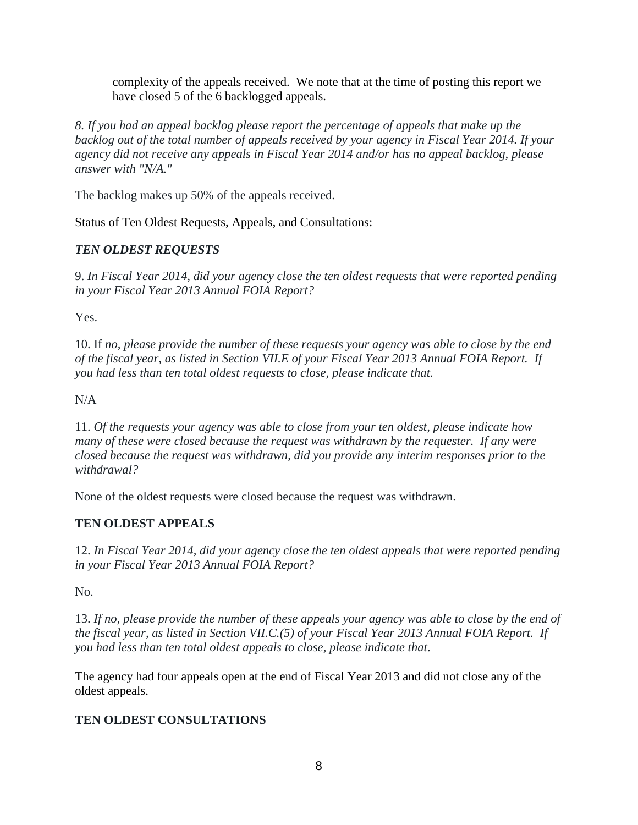complexity of the appeals received. We note that at the time of posting this report we have closed 5 of the 6 backlogged appeals.

*8. If you had an appeal backlog please report the percentage of appeals that make up the backlog out of the total number of appeals received by your agency in Fiscal Year 2014. If your agency did not receive any appeals in Fiscal Year 2014 and/or has no appeal backlog, please answer with "N/A."*

The backlog makes up 50% of the appeals received.

Status of Ten Oldest Requests, Appeals, and Consultations:

## *TEN OLDEST REQUESTS*

9. *In Fiscal Year 2014, did your agency close the ten oldest requests that were reported pending in your Fiscal Year 2013 Annual FOIA Report?*

Yes.

10. If *no, please provide the number of these requests your agency was able to close by the end of the fiscal year, as listed in Section VII.E of your Fiscal Year 2013 Annual FOIA Report. If you had less than ten total oldest requests to close, please indicate that.*

N/A

11. *Of the requests your agency was able to close from your ten oldest, please indicate how many of these were closed because the request was withdrawn by the requester. If any were closed because the request was withdrawn, did you provide any interim responses prior to the withdrawal?*

None of the oldest requests were closed because the request was withdrawn.

# **TEN OLDEST APPEALS**

12. *In Fiscal Year 2014, did your agency close the ten oldest appeals that were reported pending in your Fiscal Year 2013 Annual FOIA Report?*

No.

13. *If no, please provide the number of these appeals your agency was able to close by the end of the fiscal year, as listed in Section VII.C.(5) of your Fiscal Year 2013 Annual FOIA Report. If you had less than ten total oldest appeals to close, please indicate that*.

The agency had four appeals open at the end of Fiscal Year 2013 and did not close any of the oldest appeals.

# **TEN OLDEST CONSULTATIONS**